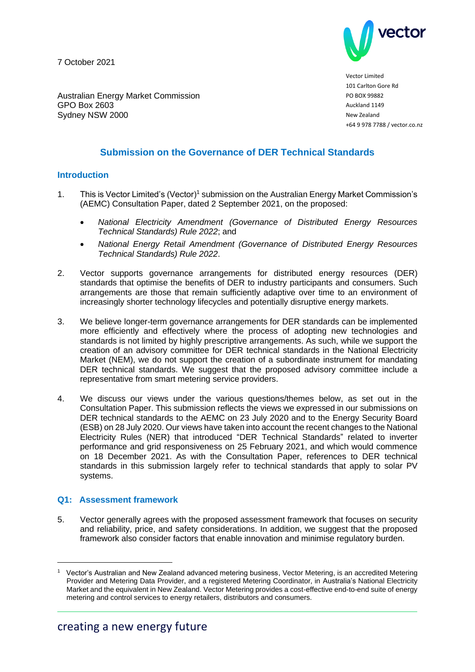7 October 2021



Vector Limited 101 Carlton Gore Rd PO BOX 99882 Auckland 1149 New Zealand +64 9 978 7788 / vector.co.nz

Australian Energy Market Commission GPO Box 2603 Sydney NSW 2000

# **Submission on the Governance of DER Technical Standards**

## **Introduction**

- 1. This is Vector Limited's (Vector)<sup>1</sup> submission on the Australian Energy Market Commission's (AEMC) Consultation Paper, dated 2 September 2021, on the proposed:
	- *National Electricity Amendment (Governance of Distributed Energy Resources Technical Standards) Rule 2022*; and
	- *National Energy Retail Amendment (Governance of Distributed Energy Resources Technical Standards) Rule 2022*.
- 2. Vector supports governance arrangements for distributed energy resources (DER) standards that optimise the benefits of DER to industry participants and consumers. Such arrangements are those that remain sufficiently adaptive over time to an environment of increasingly shorter technology lifecycles and potentially disruptive energy markets.
- 3. We believe longer-term governance arrangements for DER standards can be implemented more efficiently and effectively where the process of adopting new technologies and standards is not limited by highly prescriptive arrangements. As such, while we support the creation of an advisory committee for DER technical standards in the National Electricity Market (NEM), we do not support the creation of a subordinate instrument for mandating DER technical standards. We suggest that the proposed advisory committee include a representative from smart metering service providers.
- 4. We discuss our views under the various questions/themes below, as set out in the Consultation Paper. This submission reflects the views we expressed in our submissions on DER technical standards to the AEMC on 23 July 2020 and to the Energy Security Board (ESB) on 28 July 2020. Our views have taken into account the recent changes to the National Electricity Rules (NER) that introduced "DER Technical Standards" related to inverter performance and grid responsiveness on 25 February 2021, and which would commence on 18 December 2021. As with the Consultation Paper, references to DER technical standards in this submission largely refer to technical standards that apply to solar PV systems.

#### **Q1: Assessment framework**

5. Vector generally agrees with the proposed assessment framework that focuses on security and reliability, price, and safety considerations. In addition, we suggest that the proposed framework also consider factors that enable innovation and minimise regulatory burden.

<sup>1</sup> Vector's Australian and New Zealand advanced metering business, Vector Metering, is an accredited Metering Provider and Metering Data Provider, and a registered Metering Coordinator, in Australia's National Electricity Market and the equivalent in New Zealand. Vector Metering provides a cost-effective end-to-end suite of energy metering and control services to energy retailers, distributors and consumers.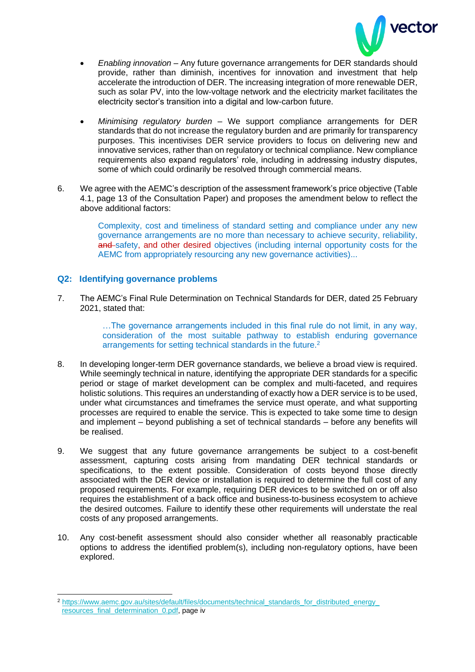

- *Enabling innovation* Any future governance arrangements for DER standards should provide, rather than diminish, incentives for innovation and investment that help accelerate the introduction of DER. The increasing integration of more renewable DER, such as solar PV, into the low-voltage network and the electricity market facilitates the electricity sector's transition into a digital and low-carbon future.
- *Minimising regulatory burden* We support compliance arrangements for DER standards that do not increase the regulatory burden and are primarily for transparency purposes. This incentivises DER service providers to focus on delivering new and innovative services, rather than on regulatory or technical compliance. New compliance requirements also expand regulators' role, including in addressing industry disputes, some of which could ordinarily be resolved through commercial means.
- 6. We agree with the AEMC's description of the assessment framework's price objective (Table 4.1, page 13 of the Consultation Paper) and proposes the amendment below to reflect the above additional factors:

Complexity, cost and timeliness of standard setting and compliance under any new governance arrangements are no more than necessary to achieve security, reliability, and safety, and other desired objectives (including internal opportunity costs for the AEMC from appropriately resourcing any new governance activities)...

## **Q2: Identifying governance problems**

7. The AEMC's Final Rule Determination on Technical Standards for DER, dated 25 February 2021, stated that:

> …The governance arrangements included in this final rule do not limit, in any way, consideration of the most suitable pathway to establish enduring governance arrangements for setting technical standards in the future.<sup>2</sup>

- 8. In developing longer-term DER governance standards, we believe a broad view is required. While seemingly technical in nature, identifying the appropriate DER standards for a specific period or stage of market development can be complex and multi-faceted, and requires holistic solutions. This requires an understanding of exactly how a DER service is to be used, under what circumstances and timeframes the service must operate, and what supporting processes are required to enable the service. This is expected to take some time to design and implement – beyond publishing a set of technical standards – before any benefits will be realised.
- 9. We suggest that any future governance arrangements be subject to a cost-benefit assessment, capturing costs arising from mandating DER technical standards or specifications, to the extent possible. Consideration of costs beyond those directly associated with the DER device or installation is required to determine the full cost of any proposed requirements. For example, requiring DER devices to be switched on or off also requires the establishment of a back office and business-to-business ecosystem to achieve the desired outcomes. Failure to identify these other requirements will understate the real costs of any proposed arrangements.
- 10. Any cost-benefit assessment should also consider whether all reasonably practicable options to address the identified problem(s), including non-regulatory options, have been explored.

<sup>2</sup> [https://www.aemc.gov.au/sites/default/files/documents/technical\\_standards\\_for\\_distributed\\_energy\\_](https://www.aemc.gov.au/sites/default/files/documents/technical_standards_for_distributed_energy_resources_final_determination_0.pdf) [resources\\_final\\_determination\\_0.pdf,](https://www.aemc.gov.au/sites/default/files/documents/technical_standards_for_distributed_energy_resources_final_determination_0.pdf) page iv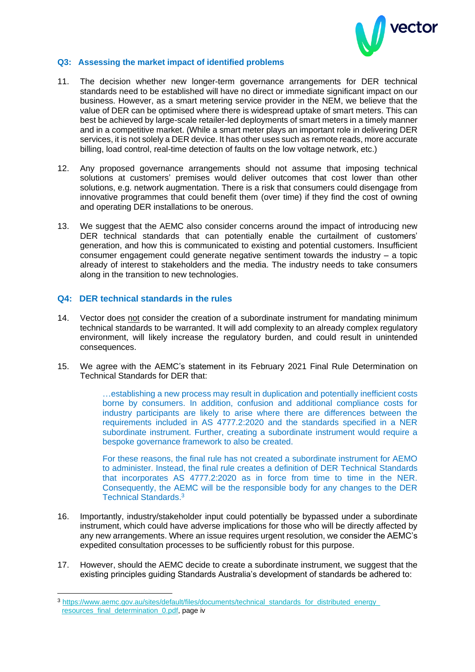

## **Q3: Assessing the market impact of identified problems**

- 11. The decision whether new longer-term governance arrangements for DER technical standards need to be established will have no direct or immediate significant impact on our business. However, as a smart metering service provider in the NEM, we believe that the value of DER can be optimised where there is widespread uptake of smart meters. This can best be achieved by large-scale retailer-led deployments of smart meters in a timely manner and in a competitive market. (While a smart meter plays an important role in delivering DER services, it is not solely a DER device. It has other uses such as remote reads, more accurate billing, load control, real-time detection of faults on the low voltage network, etc.)
- 12. Any proposed governance arrangements should not assume that imposing technical solutions at customers' premises would deliver outcomes that cost lower than other solutions, e.g. network augmentation. There is a risk that consumers could disengage from innovative programmes that could benefit them (over time) if they find the cost of owning and operating DER installations to be onerous.
- 13. We suggest that the AEMC also consider concerns around the impact of introducing new DER technical standards that can potentially enable the curtailment of customers' generation, and how this is communicated to existing and potential customers. Insufficient consumer engagement could generate negative sentiment towards the industry  $-$  a topic already of interest to stakeholders and the media. The industry needs to take consumers along in the transition to new technologies.

#### **Q4: DER technical standards in the rules**

- 14. Vector does not consider the creation of a subordinate instrument for mandating minimum technical standards to be warranted. It will add complexity to an already complex regulatory environment, will likely increase the regulatory burden, and could result in unintended consequences.
- 15. We agree with the AEMC's statement in its February 2021 Final Rule Determination on Technical Standards for DER that:

…establishing a new process may result in duplication and potentially inefficient costs borne by consumers. In addition, confusion and additional compliance costs for industry participants are likely to arise where there are differences between the requirements included in AS 4777.2:2020 and the standards specified in a NER subordinate instrument. Further, creating a subordinate instrument would require a bespoke governance framework to also be created.

For these reasons, the final rule has not created a subordinate instrument for AEMO to administer. Instead, the final rule creates a definition of DER Technical Standards that incorporates AS 4777.2:2020 as in force from time to time in the NER. Consequently, the AEMC will be the responsible body for any changes to the DER Technical Standards.<sup>3</sup>

- 16. Importantly, industry/stakeholder input could potentially be bypassed under a subordinate instrument, which could have adverse implications for those who will be directly affected by any new arrangements. Where an issue requires urgent resolution, we consider the AEMC's expedited consultation processes to be sufficiently robust for this purpose.
- 17. However, should the AEMC decide to create a subordinate instrument, we suggest that the existing principles guiding Standards Australia's development of standards be adhered to:

<sup>3</sup> [https://www.aemc.gov.au/sites/default/files/documents/technical\\_standards\\_for\\_distributed\\_energy\\_](https://www.aemc.gov.au/sites/default/files/documents/technical_standards_for_distributed_energy_resources_final_determination_0.pdf) [resources\\_final\\_determination\\_0.pdf,](https://www.aemc.gov.au/sites/default/files/documents/technical_standards_for_distributed_energy_resources_final_determination_0.pdf) page iv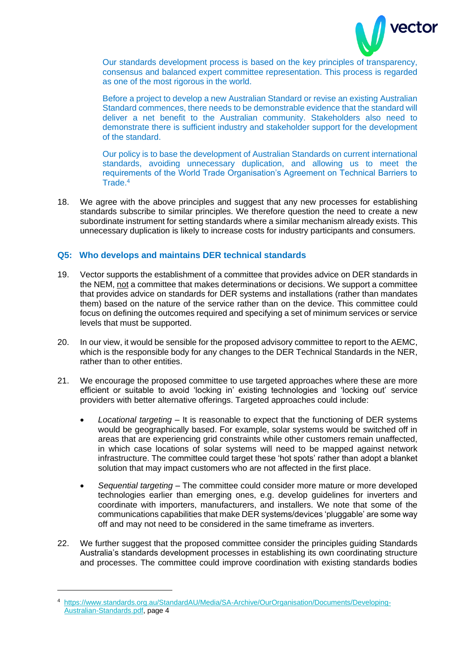

Our standards development process is based on the key principles of transparency, consensus and balanced expert committee representation. This process is regarded as one of the most rigorous in the world.

Before a project to develop a new Australian Standard or revise an existing Australian Standard commences, there needs to be demonstrable evidence that the standard will deliver a net benefit to the Australian community. Stakeholders also need to demonstrate there is sufficient industry and stakeholder support for the development of the standard.

Our policy is to base the development of Australian Standards on current international standards, avoiding unnecessary duplication, and allowing us to meet the requirements of the World Trade Organisation's Agreement on Technical Barriers to Trade.<sup>4</sup>

18. We agree with the above principles and suggest that any new processes for establishing standards subscribe to similar principles. We therefore question the need to create a new subordinate instrument for setting standards where a similar mechanism already exists. This unnecessary duplication is likely to increase costs for industry participants and consumers.

## **Q5: Who develops and maintains DER technical standards**

- 19. Vector supports the establishment of a committee that provides advice on DER standards in the NEM, not a committee that makes determinations or decisions. We support a committee that provides advice on standards for DER systems and installations (rather than mandates them) based on the nature of the service rather than on the device. This committee could focus on defining the outcomes required and specifying a set of minimum services or service levels that must be supported.
- 20. In our view, it would be sensible for the proposed advisory committee to report to the AEMC, which is the responsible body for any changes to the DER Technical Standards in the NER, rather than to other entities.
- 21. We encourage the proposed committee to use targeted approaches where these are more efficient or suitable to avoid 'locking in' existing technologies and 'locking out' service providers with better alternative offerings. Targeted approaches could include:
	- *Locational targeting* It is reasonable to expect that the functioning of DER systems would be geographically based. For example, solar systems would be switched off in areas that are experiencing grid constraints while other customers remain unaffected, in which case locations of solar systems will need to be mapped against network infrastructure. The committee could target these 'hot spots' rather than adopt a blanket solution that may impact customers who are not affected in the first place.
	- *Sequential targeting* The committee could consider more mature or more developed technologies earlier than emerging ones, e.g. develop guidelines for inverters and coordinate with importers, manufacturers, and installers. We note that some of the communications capabilities that make DER systems/devices 'pluggable' are some way off and may not need to be considered in the same timeframe as inverters.
- 22. We further suggest that the proposed committee consider the principles guiding Standards Australia's standards development processes in establishing its own coordinating structure and processes. The committee could improve coordination with existing standards bodies

<sup>4</sup> [https://www.standards.org.au/StandardAU/Media/SA-Archive/OurOrganisation/Documents/Developing-](https://www.standards.org.au/StandardAU/Media/SA-Archive/OurOrganisation/Documents/Developing-Australian-Standards.pdf)[Australian-Standards.pdf,](https://www.standards.org.au/StandardAU/Media/SA-Archive/OurOrganisation/Documents/Developing-Australian-Standards.pdf) page 4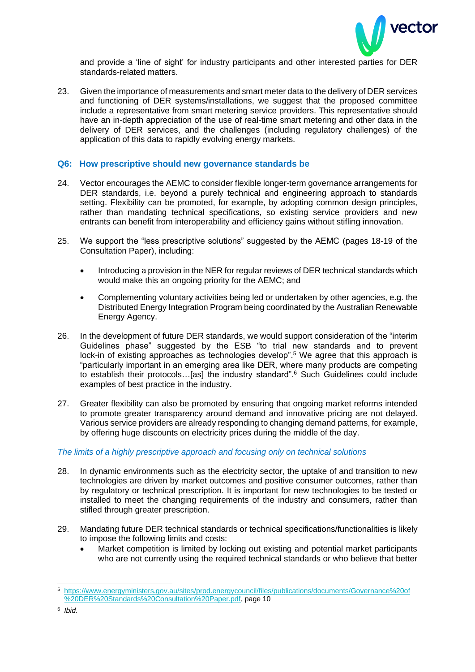

and provide a 'line of sight' for industry participants and other interested parties for DER standards-related matters.

23. Given the importance of measurements and smart meter data to the delivery of DER services and functioning of DER systems/installations, we suggest that the proposed committee include a representative from smart metering service providers. This representative should have an in-depth appreciation of the use of real-time smart metering and other data in the delivery of DER services, and the challenges (including regulatory challenges) of the application of this data to rapidly evolving energy markets.

## **Q6: How prescriptive should new governance standards be**

- 24. Vector encourages the AEMC to consider flexible longer-term governance arrangements for DER standards, i.e. beyond a purely technical and engineering approach to standards setting. Flexibility can be promoted, for example, by adopting common design principles, rather than mandating technical specifications, so existing service providers and new entrants can benefit from interoperability and efficiency gains without stifling innovation.
- 25. We support the "less prescriptive solutions" suggested by the AEMC (pages 18-19 of the Consultation Paper), including:
	- Introducing a provision in the NER for regular reviews of DER technical standards which would make this an ongoing priority for the AEMC; and
	- Complementing voluntary activities being led or undertaken by other agencies, e.g. the Distributed Energy Integration Program being coordinated by the Australian Renewable Energy Agency.
- 26. In the development of future DER standards, we would support consideration of the "interim Guidelines phase" suggested by the ESB "to trial new standards and to prevent lock-in of existing approaches as technologies develop".<sup>5</sup> We agree that this approach is "particularly important in an emerging area like DER, where many products are competing to establish their protocols…[as] the industry standard".<sup>6</sup> Such Guidelines could include examples of best practice in the industry.
- 27. Greater flexibility can also be promoted by ensuring that ongoing market reforms intended to promote greater transparency around demand and innovative pricing are not delayed. Various service providers are already responding to changing demand patterns, for example, by offering huge discounts on electricity prices during the middle of the day.

#### *The limits of a highly prescriptive approach and focusing only on technical solutions*

- 28. In dynamic environments such as the electricity sector, the uptake of and transition to new technologies are driven by market outcomes and positive consumer outcomes, rather than by regulatory or technical prescription. It is important for new technologies to be tested or installed to meet the changing requirements of the industry and consumers, rather than stifled through greater prescription.
- 29. Mandating future DER technical standards or technical specifications/functionalities is likely to impose the following limits and costs:
	- Market competition is limited by locking out existing and potential market participants who are not currently using the required technical standards or who believe that better

<sup>5</sup> [https://www.energyministers.gov.au/sites/prod.energycouncil/files/publications/documents/Governance%20of](https://www.energyministers.gov.au/sites/prod.energycouncil/files/publications/documents/Governance%20of%20DER%20Standards%20Consultation%20Paper.pdf) [%20DER%20Standards%20Consultation%20Paper.pdf,](https://www.energyministers.gov.au/sites/prod.energycouncil/files/publications/documents/Governance%20of%20DER%20Standards%20Consultation%20Paper.pdf) page 10

<sup>6</sup> *Ibid.*